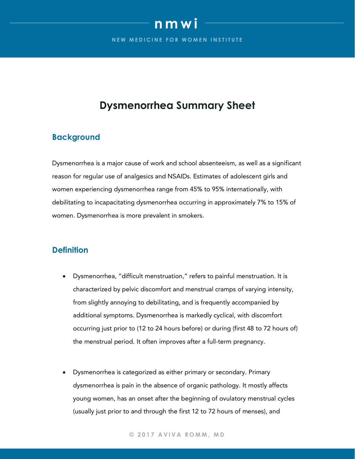# **nmwi**

**NEW MEDICINE FOR WOMEN INSTITUTE** 

# **Dysmenorrhea Summary Sheet**

# **Background**

Dysmenorrhea is a major cause of work and school absenteeism, as well as a significant reason for regular use of analgesics and NSAIDs. Estimates of adolescent girls and women experiencing dysmenorrhea range from 45% to 95% internationally, with debilitating to incapacitating dysmenorrhea occurring in approximately 7% to 15% of women. Dysmenorrhea is more prevalent in smokers.

# **Definition**

- Dysmenorrhea, "difficult menstruation," refers to painful menstruation. It is characterized by pelvic discomfort and menstrual cramps of varying intensity, from slightly annoying to debilitating, and is frequently accompanied by additional symptoms. Dysmenorrhea is markedly cyclical, with discomfort occurring just prior to (12 to 24 hours before) or during (first 48 to 72 hours of) the menstrual period. It often improves after a full-term pregnancy.
- Dysmenorrhea is categorized as either primary or secondary. Primary dysmenorrhea is pain in the absence of organic pathology. It mostly affects young women, has an onset after the beginning of ovulatory menstrual cycles (usually just prior to and through the first 12 to 72 hours of menses), and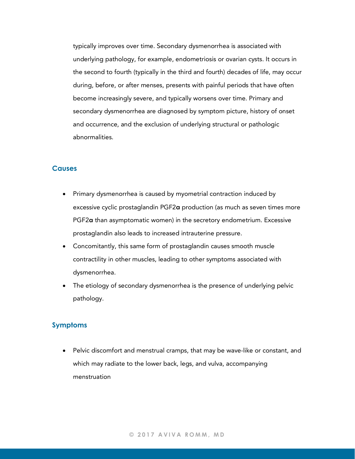typically improves over time. Secondary dysmenorrhea is associated with underlying pathology, for example, endometriosis or ovarian cysts. It occurs in the second to fourth (typically in the third and fourth) decades of life, may occur during, before, or after menses, presents with painful periods that have often become increasingly severe, and typically worsens over time. Primary and secondary dysmenorrhea are diagnosed by symptom picture, history of onset and occurrence, and the exclusion of underlying structural or pathologic abnormalities.

#### **Causes**

- Primary dysmenorrhea is caused by myometrial contraction induced by excessive cyclic prostaglandin PGF2a production (as much as seven times more PGF2a than asymptomatic women) in the secretory endometrium. Excessive prostaglandin also leads to increased intrauterine pressure.
- Concomitantly, this same form of prostaglandin causes smooth muscle contractility in other muscles, leading to other symptoms associated with dysmenorrhea.
- The etiology of secondary dysmenorrhea is the presence of underlying pelvic pathology.

## **Symptoms**

• Pelvic discomfort and menstrual cramps, that may be wave-like or constant, and which may radiate to the lower back, legs, and vulva, accompanying menstruation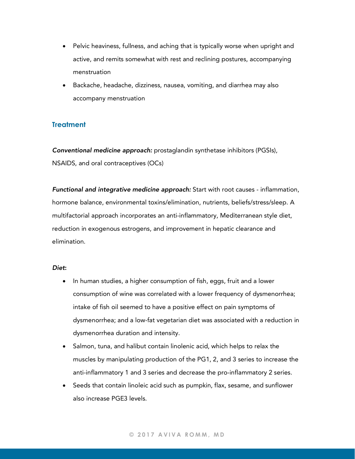- Pelvic heaviness, fullness, and aching that is typically worse when upright and active, and remits somewhat with rest and reclining postures, accompanying menstruation
- Backache, headache, dizziness, nausea, vomiting, and diarrhea may also accompany menstruation

## **Treatment**

*Conventional medicine approach:* prostaglandin synthetase inhibitors (PGSIs), NSAIDS, and oral contraceptives (OCs)

*Functional and integrative medicine approach:* Start with root causes - inflammation, hormone balance, environmental toxins/elimination, nutrients, beliefs/stress/sleep. A multifactorial approach incorporates an anti-inflammatory, Mediterranean style diet, reduction in exogenous estrogens, and improvement in hepatic clearance and elimination.

#### *Diet*:

- In human studies, a higher consumption of fish, eggs, fruit and a lower consumption of wine was correlated with a lower frequency of dysmenorrhea; intake of fish oil seemed to have a positive effect on pain symptoms of dysmenorrhea; and a low-fat vegetarian diet was associated with a reduction in dysmenorrhea duration and intensity.
- Salmon, tuna, and halibut contain linolenic acid, which helps to relax the muscles by manipulating production of the PG1, 2, and 3 series to increase the anti-inflammatory 1 and 3 series and decrease the pro-inflammatory 2 series.
- Seeds that contain linoleic acid such as pumpkin, flax, sesame, and sunflower also increase PGE3 levels.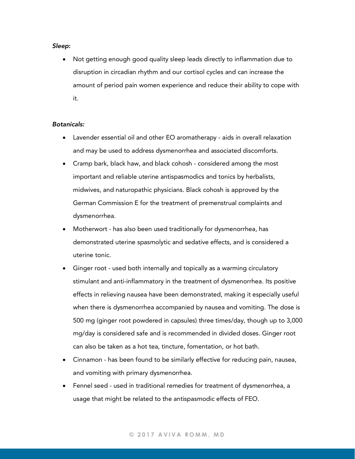#### *Sleep*:

• Not getting enough good quality sleep leads directly to inflammation due to disruption in circadian rhythm and our cortisol cycles and can increase the amount of period pain women experience and reduce their ability to cope with it.

#### *Botanicals:*

- Lavender essential oil and other EO aromatherapy aids in overall relaxation and may be used to address dysmenorrhea and associated discomforts.
- Cramp bark, black haw, and black cohosh considered among the most important and reliable uterine antispasmodics and tonics by herbalists, midwives, and naturopathic physicians. Black cohosh is approved by the German Commission E for the treatment of premenstrual complaints and dysmenorrhea.
- Motherwort has also been used traditionally for dysmenorrhea, has demonstrated uterine spasmolytic and sedative effects, and is considered a uterine tonic.
- Ginger root used both internally and topically as a warming circulatory stimulant and anti-inflammatory in the treatment of dysmenorrhea. Its positive effects in relieving nausea have been demonstrated, making it especially useful when there is dysmenorrhea accompanied by nausea and vomiting. The dose is 500 mg (ginger root powdered in capsules) three times/day, though up to 3,000 mg/day is considered safe and is recommended in divided doses. Ginger root can also be taken as a hot tea, tincture, fomentation, or hot bath.
- Cinnamon has been found to be similarly effective for reducing pain, nausea, and vomiting with primary dysmenorrhea.
- Fennel seed used in traditional remedies for treatment of dysmenorrhea, a usage that might be related to the antispasmodic effects of FEO.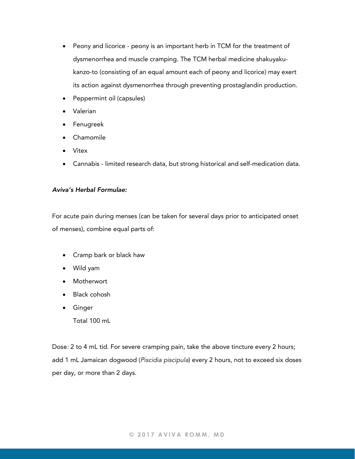- Peony and licorice peony is an important herb in TCM for the treatment of dysmenorrhea and muscle cramping. The TCM herbal medicine shakuyakukanzo-to (consisting of an equal amount each of peony and licorice) may exert its action against dysmenorrhea through preventing prostaglandin production.
- Peppermint oil (capsules)
- Valerian
- Fenugreek
- Chamomile
- Vitex
- Cannabis limited research data, but strong historical and self-medication data.

#### *Aviva's Herbal Formulae:*

For acute pain during menses (can be taken for several days prior to anticipated onset of menses), combine equal parts of:

- Cramp bark or black haw
- Wild yam
- Motherwort
- Black cohosh
- Ginger Total 100 mL

Dose*:* 2 to 4 mL tid. For severe cramping pain, take the above tincture every 2 hours; add 1 mL Jamaican dogwood (*Piscidia piscipula*) every 2 hours, not to exceed six doses per day, or more than 2 days.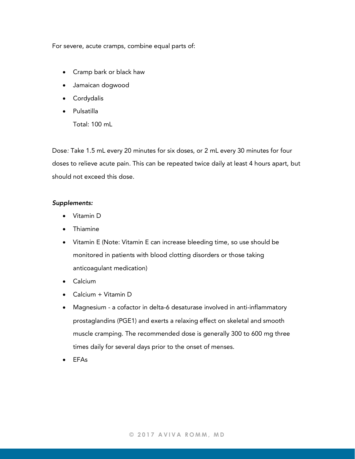For severe, acute cramps, combine equal parts of:

- Cramp bark or black haw
- Jamaican dogwood
- Cordydalis
- Pulsatilla Total: 100 mL

Dose*:* Take 1.5 mL every 20 minutes for six doses, or 2 mL every 30 minutes for four doses to relieve acute pain. This can be repeated twice daily at least 4 hours apart, but should not exceed this dose.

#### *Supplements:*

- Vitamin D
- Thiamine
- Vitamin E (Note: Vitamin E can increase bleeding time, so use should be monitored in patients with blood clotting disorders or those taking anticoagulant medication)
- Calcium
- Calcium + Vitamin D
- Magnesium a cofactor in delta-6 desaturase involved in anti-inflammatory prostaglandins (PGE1) and exerts a relaxing effect on skeletal and smooth muscle cramping. The recommended dose is generally 300 to 600 mg three times daily for several days prior to the onset of menses.
- EFAs